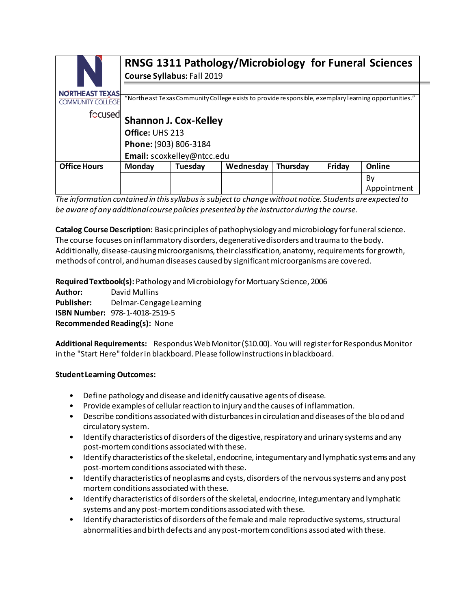|                                                    | RNSG 1311 Pathology/Microbiology for Funeral Sciences<br>Course Syllabus: Fall 2019                  |         |           |          |        |             |
|----------------------------------------------------|------------------------------------------------------------------------------------------------------|---------|-----------|----------|--------|-------------|
| <b>NORTHEAST TEXAS</b><br><b>COMMUNITY COLLEGE</b> | "Northeast Texas Community College exists to provide responsible, exemplary learning opportunities." |         |           |          |        |             |
| focused                                            | <b>Shannon J. Cox-Kelley</b>                                                                         |         |           |          |        |             |
|                                                    | Office: UHS 213                                                                                      |         |           |          |        |             |
|                                                    | Phone: (903) 806-3184                                                                                |         |           |          |        |             |
|                                                    | Email: scoxkelley@ntcc.edu                                                                           |         |           |          |        |             |
| <b>Office Hours</b>                                | Monday                                                                                               | Tuesday | Wednesday | Thursday | Friday | Online      |
|                                                    |                                                                                                      |         |           |          |        | By          |
|                                                    |                                                                                                      |         |           |          |        | Appointment |

*The information contained in this syllabus is subject to change without notice. Students are expected to be aware of any additional course policies presented by the instructor during the course.*

**Catalog Course Description:** Basic principles of pathophysiology and microbiology for funeral science. The course focuses on inflammatory disorders, degenerative disorders and trauma to the body. Additionally, disease-causing microorganisms, their classification, anatomy, requirements for growth, methods of control, and human diseases caused by significant microorganisms are covered.

**Required Textbook(s):** Pathology and Microbiology for Mortuary Science, 2006

**Author:** David Mullins **Publisher:** Delmar-Cengage Learning **ISBN Number:** 978-1-4018-2519-5 **Recommended Reading(s):** None

**Additional Requirements:** Respondus Web Monitor (\$10.00). You will register for Respondus Monitor in the "Start Here" folder in blackboard. Please follow instructions in blackboard.

# **Student Learning Outcomes:**

- Define pathology and disease and idenitfy causative agents of disease.
- Provide examples of cellular reaction to injury and the causes of inflammation.
- Describe conditions associated with disturbances in circulation and diseases of the blood and circulatory system.
- Identify characteristics of disorders of the digestive, respiratory and urinary systems and any post-mortem conditions associated with these.
- Identify characteristics of the skeletal, endocrine, integumentary and lymphatic systems and any post-mortem conditions associated with these.
- Identify characteristics of neoplasms and cysts, disorders of the nervous systems and any post mortem conditions associated with these.
- Identify characteristics of disorders of the skeletal, endocrine, integumentary and lymphatic systems and any post-mortem conditions associated with these.
- Identify characteristics of disorders of the female and male reproductive systems, structural abnormalities and birth defects and any post-mortem conditions associated with these.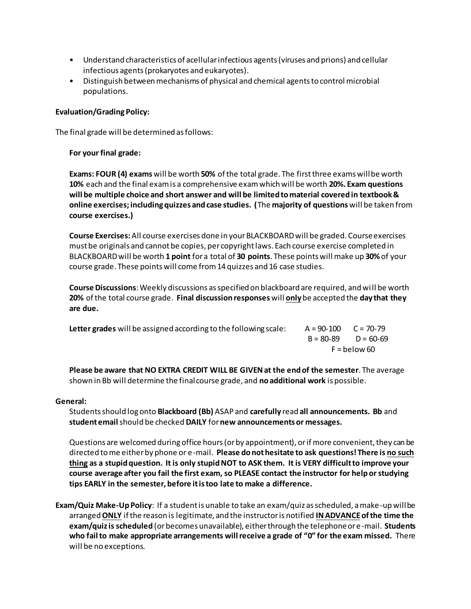- Understand characteristics of acellular infectious agents (viruses and prions) and cellular infectious agents (prokaryotes and eukaryotes).
- Distinguish between mechanisms of physical and chemical agents to control microbial populations.

## **Evaluation/Grading Policy:**

The final grade will be determined as follows:

## **For your final grade:**

**Exams: FOUR (4) exams** will be worth **50%** of the total grade. The first three exams will be worth **10%** each and the final exam is a comprehensive exam which will be worth **20%. Exam questions will be multiple choice and short answer and will be limited to material covered in textbook & online exercises; including quizzes and case studies. (**The **majority of questions** will be taken from **course exercises.)**

**Course Exercises:** All course exercises done in your BLACKBOARD will be graded. Course exercises must be originals and cannot be copies, per copyright laws. Each course exercise completed in BLACKBOARD will be worth **1 point** for a total of **30 points**. These points will make up **30%**of your course grade. These points will come from 14 quizzes and 16 case studies.

**Course Discussions**: Weekly discussions as specified on blackboard are required, and wi ll be worth **20%** of the total course grade. **Final discussion responses** will **only**be accepted the **day that they are due.**

| Letter grades will be assigned according to the following scale: | $A = 90-100$ $C = 70-79$ |                         |
|------------------------------------------------------------------|--------------------------|-------------------------|
|                                                                  |                          | $B = 80-89$ $D = 60-69$ |
|                                                                  | F = below 60             |                         |

**Please be aware that NO EXTRA CREDIT WILL BE GIVEN at the end of the semester**. The average shown in Bb will determine the final course grade, and **no additional work** is possible.

## **General:**

Students should log onto **Blackboard (Bb)** ASAP and **carefully** read **all announcements. Bb** and **student email** should be checked **DAILY** for**new announcements or messages.** 

Questions are welcomed during office hours (or by appointment), or if more convenient, they can be directed to me either by phone or e-mail. **Please do not hesitate to ask questions! There is no such thing as a stupid question. It is only stupid NOT to ASK them. It is VERY difficult to improve your course average after you fail the first exam, so PLEASE contact the instructor for help or studying tips EARLY in the semester, before it is too late to make a difference.** 

**Exam/Quiz Make-Up Policy**: If a student is unable to take an exam/quiz as scheduled, a make-up will be arranged **ONLY** if the reason is legitimate, and the instructor is notified **IN ADVANCEof the time the exam/quiz is scheduled** (or becomes unavailable), either through the telephone or e-mail. **Students who fail to make appropriate arrangements will receive a grade of "0" for the exam missed.** There will be no exceptions.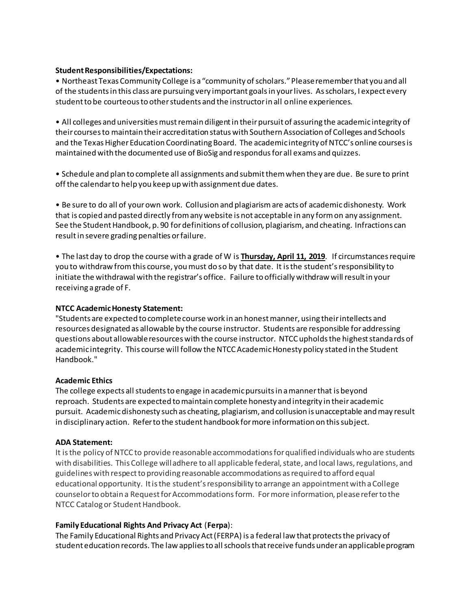## **Student Responsibilities/Expectations:**

• Northeast Texas Community College is a "community of scholars." Please remember that you and all of the students in this class are pursuing very important goals in your lives. As scholars, I expect every student to be courteous to other students and the instructor in all online experiences.

• All colleges and universities must remain diligent in their pursuit of assuring the academic integrity of their courses to maintain their accreditation status with Southern Association of Colleges and Schools and the Texas Higher Education Coordinating Board. The academic integrity of NTCC's online courses is maintained with the documented use of BioSig and respondus for all exams and quizzes.

• Schedule and plan to complete all assignments and submit them when they are due. Be sure to print off the calendar to help you keep up with assignment due dates.

• Be sure to do all of your own work. Collusion and plagiarism are acts of academic dishonesty. Work that is copied and pasted directly from any website is not acceptable in any form on any assignment. See the Student Handbook, p. 90 for definitions of collusion, plagiarism, and cheating. Infractions can result in severe grading penalties or failure.

• The last day to drop the course with a grade of W is **Thursday, April 11, 2019**. If circumstances require you to withdraw from this course, you must do so by that date. It is the student's responsibility to initiate the withdrawal with the registrar's office. Failure to officially withdraw will result in your receiving a grade of F.

#### **NTCC Academic Honesty Statement:**

"Students are expected to complete course work in an honest manner, using their intellects and resources designated as allowable by the course instructor. Students are responsible for addressing questions about allowable resources with the course instructor. NTCC upholds the highest standards of academic integrity. This course will follow the NTCC Academic Honesty policy stated in the Student Handbook."

## **Academic Ethics**

The college expects all students to engage in academic pursuits in a manner that is beyond reproach. Students are expected to maintain complete honesty and integrity in their academic pursuit. Academic dishonesty such as cheating, plagiarism, and collusion is unacceptable and may result in disciplinary action. Refer to the student handbook for more information on this subject.

#### **ADA Statement:**

It is the policy of NTCC to provide reasonable accommodations for qualified individuals who are students with disabilities. This College will adhere to all applicable federal, state, and local laws, regulations, and guidelines with respect to providing reasonable accommodations as required to afford equal educational opportunity. It is the student's responsibility to arrange an appointment with a College counselor to obtain a Request for Accommodations form. For more information, please refer to the NTCC Catalog or Student Handbook.

## **Family Educational Rights And Privacy Act** (**Ferpa**):

The Family Educational Rights and Privacy Act (FERPA) is a federal law that protects the privacy of student education records. The law applies to all schools that receive funds under an applicable program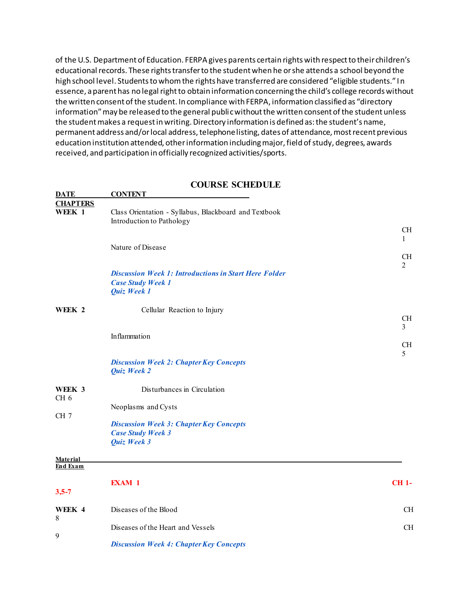of the U.S. Department of Education. FERPA gives parents certain rights with respect to their children's educational records. These rights transfer to the student when he or she attends a school beyond the high school level. Students to whom the rights have transferred are considered "eligible students." In essence, a parent has no legal right to obtain information concerning the child's college records without the written consent of the student. In compliance with FERPA, information classified as "directory information" may be released to the general public without the written consent of the student unless the student makes a request in writing. Directory information is defined as: the student's name, permanent address and/or local address, telephone listing, dates of attendance, most recent previous education institution attended, other information including major, field of study, degrees, awards received, and participation in officially recognized activities/sports.

#### **COURSE SCHEDULE**

| <b>DATE</b>               | <b>CONTENT</b>                                                                     |                             |
|---------------------------|------------------------------------------------------------------------------------|-----------------------------|
| <b>CHAPTERS</b>           |                                                                                    |                             |
| WEEK 1                    | Class Orientation - Syllabus, Blackboard and Textbook<br>Introduction to Pathology |                             |
|                           |                                                                                    | <b>CH</b>                   |
|                           |                                                                                    | 1                           |
|                           | Nature of Disease                                                                  |                             |
|                           |                                                                                    | <b>CH</b><br>$\overline{2}$ |
|                           | <b>Discussion Week 1: Introductions in Start Here Folder</b>                       |                             |
|                           | <b>Case Study Week 1</b>                                                           |                             |
|                           | Quiz Week 1                                                                        |                             |
|                           |                                                                                    |                             |
| WEEK 2                    | Cellular Reaction to Injury                                                        | CH                          |
|                           |                                                                                    | 3                           |
|                           | Inflammation                                                                       |                             |
|                           |                                                                                    | <b>CH</b>                   |
|                           |                                                                                    | 5                           |
|                           | <b>Discussion Week 2: Chapter Key Concepts</b><br>Quiz Week 2                      |                             |
|                           |                                                                                    |                             |
| WEEK 3<br>CH <sub>6</sub> | Disturbances in Circulation                                                        |                             |
|                           | Neoplasms and Cysts                                                                |                             |
| CH <sub>7</sub>           |                                                                                    |                             |
|                           | <b>Discussion Week 3: Chapter Key Concepts</b>                                     |                             |
|                           | <b>Case Study Week 3</b>                                                           |                             |
|                           | Quiz Week 3                                                                        |                             |
| Material                  |                                                                                    |                             |
| <b>End Exam</b>           |                                                                                    |                             |
|                           | <b>EXAM 1</b>                                                                      | $CH1-$                      |
| $3,5 - 7$                 |                                                                                    |                             |
|                           |                                                                                    |                             |
| WEEK 4                    | Diseases of the Blood                                                              | <b>CH</b>                   |
| 8                         |                                                                                    |                             |
| 9                         | Diseases of the Heart and Vessels                                                  | <b>CH</b>                   |
|                           | <b>Discussion Week 4: Chapter Key Concepts</b>                                     |                             |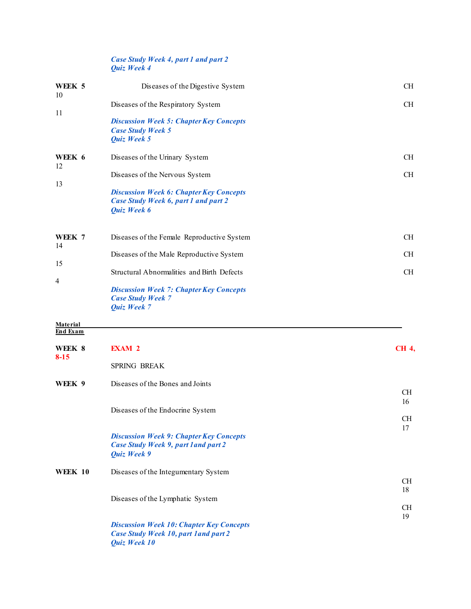#### *Case Study Week 4, part 1 and part 2 Quiz Week 4*

| WEEK 5<br>10                       | Diseases of the Digestive System                                                                                | <b>CH</b>       |
|------------------------------------|-----------------------------------------------------------------------------------------------------------------|-----------------|
| 11                                 | Diseases of the Respiratory System                                                                              | <b>CH</b>       |
|                                    | <b>Discussion Week 5: Chapter Key Concepts</b><br><b>Case Study Week 5</b><br>Quiz Week 5                       |                 |
| WEEK 6<br>12                       | Diseases of the Urinary System                                                                                  | <b>CH</b>       |
|                                    | Diseases of the Nervous System                                                                                  | CH              |
| 13                                 | <b>Discussion Week 6: Chapter Key Concepts</b><br><b>Case Study Week 6, part 1 and part 2</b><br>Quiz Week 6    |                 |
| WEEK 7<br>14                       | Diseases of the Female Reproductive System                                                                      | <b>CH</b>       |
|                                    | Diseases of the Male Reproductive System                                                                        | <b>CH</b>       |
| 15                                 | Structural Abnormalities and Birth Defects                                                                      | CH              |
| 4                                  | <b>Discussion Week 7: Chapter Key Concepts</b><br><b>Case Study Week 7</b><br>Quiz Week 7                       |                 |
| <b>Material</b><br><b>End Exam</b> |                                                                                                                 |                 |
|                                    | <b>EXAM 2</b>                                                                                                   |                 |
| WEEK 8<br>$8 - 15$                 |                                                                                                                 | <b>CH 4,</b>    |
|                                    | SPRING BREAK                                                                                                    |                 |
| WEEK 9                             | Diseases of the Bones and Joints                                                                                | <b>CH</b>       |
|                                    |                                                                                                                 | 16              |
|                                    | Diseases of the Endocrine System                                                                                | <b>CH</b>       |
|                                    | <b>Discussion Week 9: Chapter Key Concepts</b><br>Case Study Week 9, part land part 2<br>Quiz Week 9            | 17              |
| <b>WEEK 10</b>                     | Diseases of the Integumentary System                                                                            |                 |
|                                    |                                                                                                                 | <b>CH</b><br>18 |
|                                    | Diseases of the Lymphatic System                                                                                | <b>CH</b>       |
|                                    |                                                                                                                 | 19              |
|                                    | <b>Discussion Week 10: Chapter Key Concepts</b><br><b>Case Study Week 10, part 1 and part 2</b><br>Quiz Week 10 |                 |